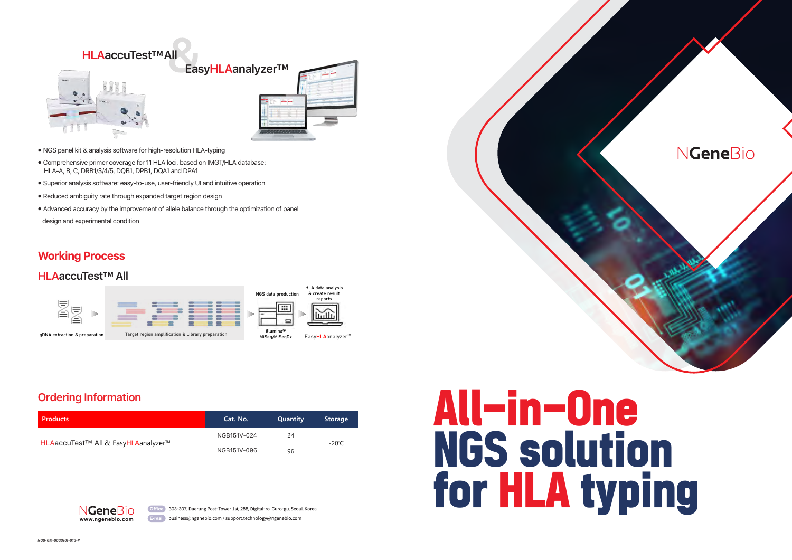

- ⦁ NGS panel kit & analysis software for high-resolution HLA-typing
- ⦁ Comprehensive primer coverage for 11 HLA loci, based on IMGT/HLA database: HLA-A, B, C, DRB1/3/4/5, DQB1, DPB1, DQA1 and DPA1
- ⦁ Superior analysis software: easy-to-use, user-friendly UI and intuitive operation
- ⦁ Reduced ambiguity rate through expanded target region design
- ⦁ Advanced accuracy by the improvement of allele balance through the optimization of panel

design and experimental condition



## **HLAaccuTest™ All**

## **Ordering Information**

## **NGeneBio**



# All-in-One NGS solution for HLA typing

## **Working Process**

| <b>Products</b>                     | Cat. No.    | <b>Quantity</b> | <b>Storage</b> |  |
|-------------------------------------|-------------|-----------------|----------------|--|
|                                     | NGB151V-024 | 24              | -20°C          |  |
| HLAaccuTest™ All & EasyHLAanalyzer™ | NGB151V-096 | 96              |                |  |